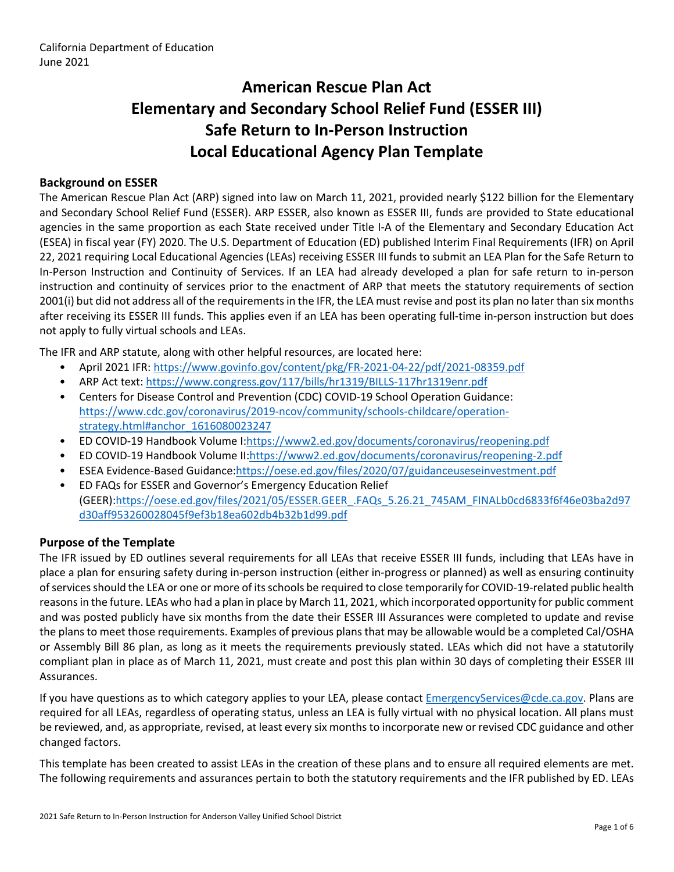# **American Rescue Plan Act Elementary and Secondary School Relief Fund (ESSER III) Safe Return to In-Person Instruction Local Educational Agency Plan Template**

### **Background on ESSER**

The American Rescue Plan Act (ARP) signed into law on March 11, 2021, provided nearly \$122 billion for the Elementary and Secondary School Relief Fund (ESSER). ARP ESSER, also known as ESSER III, funds are provided to State educational agencies in the same proportion as each State received under Title I-A of the Elementary and Secondary Education Act (ESEA) in fiscal year (FY) 2020. The U.S. Department of Education (ED) published Interim Final Requirements (IFR) on April 22, 2021 requiring Local Educational Agencies (LEAs) receiving ESSER III funds to submit an LEA Plan for the Safe Return to In-Person Instruction and Continuity of Services. If an LEA had already developed a plan for safe return to in-person instruction and continuity of services prior to the enactment of ARP that meets the statutory requirements of section 2001(i) but did not address all of the requirements in the IFR, the LEA must revise and post its plan no later than six months after receiving its ESSER III funds. This applies even if an LEA has been operating full-time in-person instruction but does not apply to fully virtual schools and LEAs.

The IFR and ARP statute, along with other helpful resources, are located here:

- April 2021 IFR: <https://www.govinfo.gov/content/pkg/FR-2021-04-22/pdf/2021-08359.pdf>
- ARP Act text: <https://www.congress.gov/117/bills/hr1319/BILLS-117hr1319enr.pdf>
- Centers for Disease Control and Prevention (CDC) COVID-19 School Operation Guidance: [https://www.cdc.gov/coronavirus/2019-ncov/community/schools-childcare/operation](https://www.cdc.gov/coronavirus/2019-ncov/community/schools-childcare/operation-strategy.html#anchor_1616080023247)[strategy.html#anchor\\_1616080023247](https://www.cdc.gov/coronavirus/2019-ncov/community/schools-childcare/operation-strategy.html#anchor_1616080023247)
- ED COVID-19 Handbook Volume I:[https://www2.ed.gov/documents/coronavirus/reopening.pdf](https://www2.ed.gov/documents/coronavirus/reopening.pdf%20)
- ED COVID-19 Handbook Volume II:<https://www2.ed.gov/documents/coronavirus/reopening-2.pdf>
- ESEA Evidence-Based Guidance[:https://oese.ed.gov/files/2020/07/guidanceuseseinvestment.pdf](https://oese.ed.gov/files/2020/07/guidanceuseseinvestment.pdf)
- ED FAQs for ESSER and Governor's Emergency Education Relief (GEER)[:https://oese.ed.gov/files/2021/05/ESSER.GEER\\_.FAQs\\_5.26.21\\_745AM\\_FINALb0cd6833f6f46e03ba2d97](https://oese.ed.gov/files/2021/05/ESSER.GEER_.FAQs_5.26.21_745AM_FINALb0cd6833f6f46e03ba2d97d30aff953260028045f9ef3b18ea602db4b32b1d99.pdf) [d30aff953260028045f9ef3b18ea602db4b32b1d99.pdf](https://oese.ed.gov/files/2021/05/ESSER.GEER_.FAQs_5.26.21_745AM_FINALb0cd6833f6f46e03ba2d97d30aff953260028045f9ef3b18ea602db4b32b1d99.pdf)

#### **Purpose of the Template**

The IFR issued by ED outlines several requirements for all LEAs that receive ESSER III funds, including that LEAs have in place a plan for ensuring safety during in-person instruction (either in-progress or planned) as well as ensuring continuity of services should the LEA or one or more of its schools be required to close temporarily for COVID-19-related public health reasons in the future. LEAs who had a plan in place by March 11, 2021, which incorporated opportunity for public comment and was posted publicly have six months from the date their ESSER III Assurances were completed to update and revise the plans to meet those requirements. Examples of previous plans that may be allowable would be a completed Cal/OSHA or Assembly Bill 86 plan, as long as it meets the requirements previously stated. LEAs which did not have a statutorily compliant plan in place as of March 11, 2021, must create and post this plan within 30 days of completing their ESSER III Assurances.

If you have questions as to which category applies to your LEA, please contact [EmergencyServices@cde.ca.gov.](mailto:EmergencyServices@cde.ca.gov) Plans are required for all LEAs, regardless of operating status, unless an LEA is fully virtual with no physical location. All plans must be reviewed, and, as appropriate, revised, at least every six months to incorporate new or revised CDC guidance and other changed factors.

This template has been created to assist LEAs in the creation of these plans and to ensure all required elements are met. The following requirements and assurances pertain to both the statutory requirements and the IFR published by ED. LEAs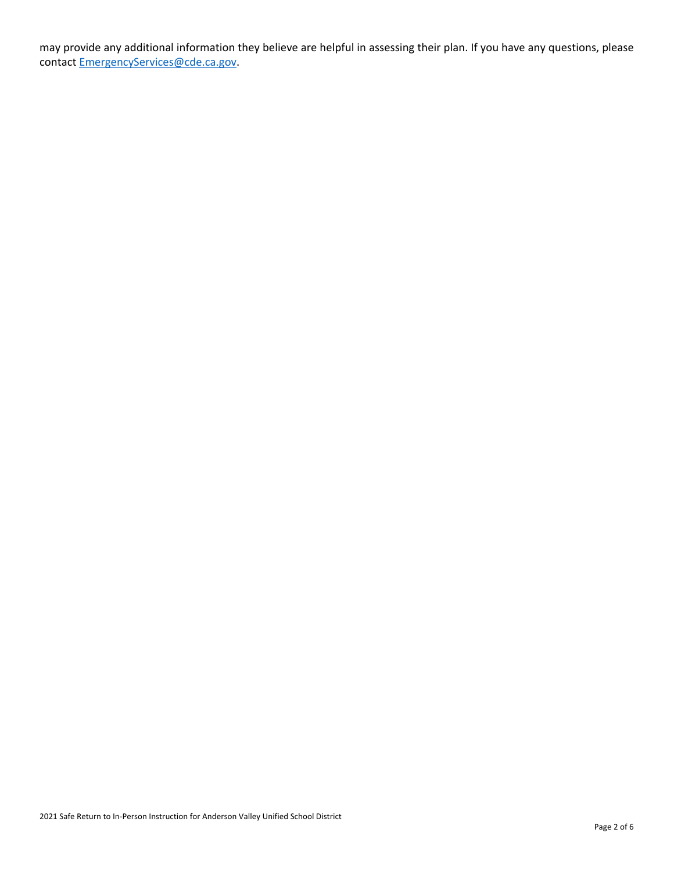may provide any additional information they believe are helpful in assessing their plan. If you have any questions, please contact [EmergencyServices@cde.ca.gov.](mailto:EmergencyServices@cde.ca.gov)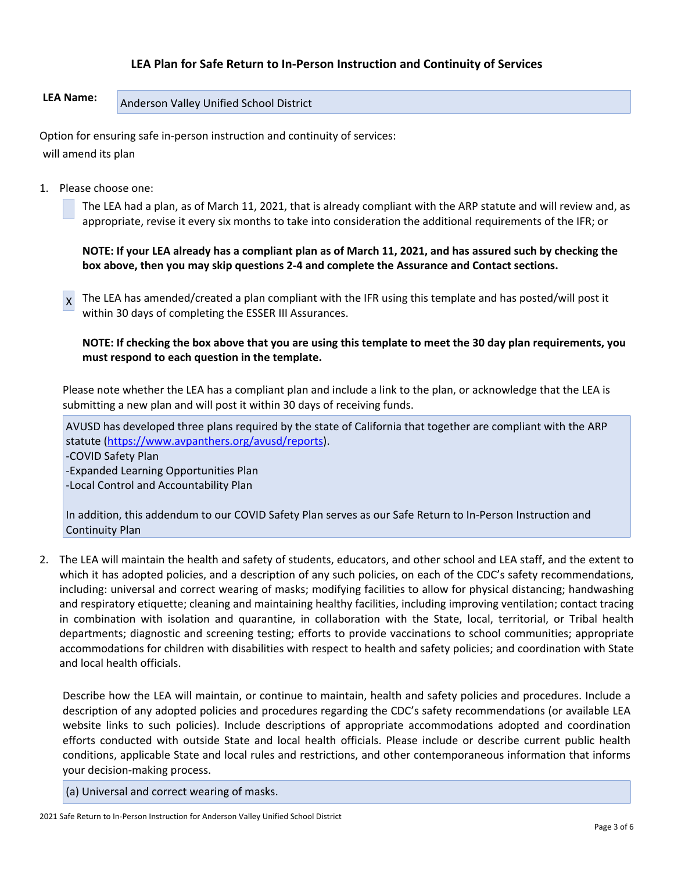## **LEA Plan for Safe Return to In-Person Instruction and Continuity of Services**

# **LEA Name:** Anderson Valley Unified School District

Option for ensuring safe in-person instruction and continuity of services: will amend its plan

1. Please choose one:

The LEA had a plan, as of March 11, 2021, that is already compliant with the ARP statute and will review and, as appropriate, revise it every six months to take into consideration the additional requirements of the IFR; or

**NOTE: If your LEA already has a compliant plan as of March 11, 2021, and has assured such by checking the box above, then you may skip questions 2-4 and complete the Assurance and Contact sections.**

 $x$  The LEA has amended/created a plan compliant with the IFR using this template and has posted/will post it within 30 days of completing the ESSER III Assurances.

**NOTE: If checking the box above that you are using this template to meet the 30 day plan requirements, you must respond to each question in the template.**

Please note whether the LEA has a compliant plan and include a link to the plan, or acknowledge that the LEA is submitting a new plan and will post it within 30 days of receiving funds.

AVUSD has developed three plans required by the state of California that together are compliant with the ARP statute ([https://www.avpanthers.org/avusd/reports\)](https://www.avpanthers.org/avusd/reports).

-COVID Safety Plan

-Expanded Learning Opportunities Plan -Local Control and Accountability Plan

In addition, this addendum to our COVID Safety Plan serves as our Safe Return to In-Person Instruction and Continuity Plan

2. The LEA will maintain the health and safety of students, educators, and other school and LEA staff, and the extent to which it has adopted policies, and a description of any such policies, on each of the CDC's safety recommendations, including: universal and correct wearing of masks; modifying facilities to allow for physical distancing; handwashing and respiratory etiquette; cleaning and maintaining healthy facilities, including improving ventilation; contact tracing in combination with isolation and quarantine, in collaboration with the State, local, territorial, or Tribal health departments; diagnostic and screening testing; efforts to provide vaccinations to school communities; appropriate accommodations for children with disabilities with respect to health and safety policies; and coordination with State and local health officials.

Describe how the LEA will maintain, or continue to maintain, health and safety policies and procedures. Include a description of any adopted policies and procedures regarding the CDC's safety recommendations (or available LEA website links to such policies). Include descriptions of appropriate accommodations adopted and coordination efforts conducted with outside State and local health officials. Please include or describe current public health conditions, applicable State and local rules and restrictions, and other contemporaneous information that informs your decision-making process.

(a) Universal and correct wearing of masks.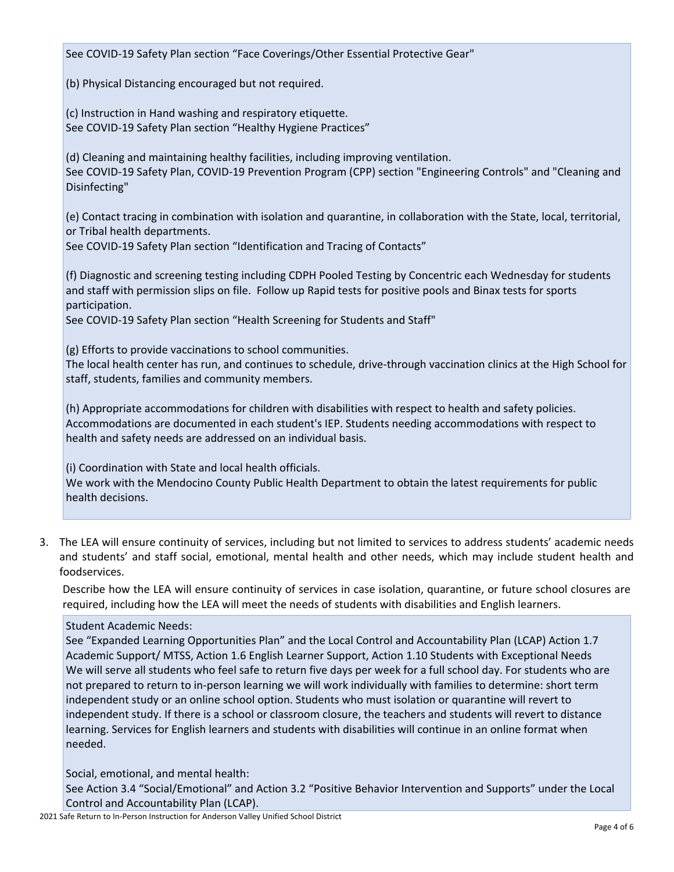See COVID-19 Safety Plan section "Face Coverings/Other Essential Protective Gear"

(b) Physical Distancing encouraged but not required.

(c) Instruction in Hand washing and respiratory etiquette. See COVID-19 Safety Plan section "Healthy Hygiene Practices"

(d) Cleaning and maintaining healthy facilities, including improving ventilation. See COVID-19 Safety Plan, COVID-19 Prevention Program (CPP) section "Engineering Controls" and "Cleaning and Disinfecting"

(e) Contact tracing in combination with isolation and quarantine, in collaboration with the State, local, territorial, or Tribal health departments.

See COVID-19 Safety Plan section "Identification and Tracing of Contacts"

(f) Diagnostic and screening testing including CDPH Pooled Testing by Concentric each Wednesday for students and staff with permission slips on file. Follow up Rapid tests for positive pools and Binax tests for sports participation.

See COVID-19 Safety Plan section "Health Screening for Students and Staff"

(g) Efforts to provide vaccinations to school communities.

The local health center has run, and continues to schedule, drive-through vaccination clinics at the High School for staff, students, families and community members.

(h) Appropriate accommodations for children with disabilities with respect to health and safety policies. Accommodations are documented in each student's IEP. Students needing accommodations with respect to health and safety needs are addressed on an individual basis.

(i) Coordination with State and local health officials.

We work with the Mendocino County Public Health Department to obtain the latest requirements for public health decisions.

3. The LEA will ensure continuity of services, including but not limited to services to address students' academic needs and students' and staff social, emotional, mental health and other needs, which may include student health and foodservices.

Describe how the LEA will ensure continuity of services in case isolation, quarantine, or future school closures are required, including how the LEA will meet the needs of students with disabilities and English learners.

#### Student Academic Needs:

See "Expanded Learning Opportunities Plan" and the Local Control and Accountability Plan (LCAP) Action 1.7 Academic Support/ MTSS, Action 1.6 English Learner Support, Action 1.10 Students with Exceptional Needs We will serve all students who feel safe to return five days per week for a full school day. For students who are not prepared to return to in-person learning we will work individually with families to determine: short term independent study or an online school option. Students who must isolation or quarantine will revert to independent study. If there is a school or classroom closure, the teachers and students will revert to distance learning. Services for English learners and students with disabilities will continue in an online format when needed.

Social, emotional, and mental health:

See Action 3.4 "Social/Emotional" and Action 3.2 "Positive Behavior Intervention and Supports" under the Local Control and Accountability Plan (LCAP).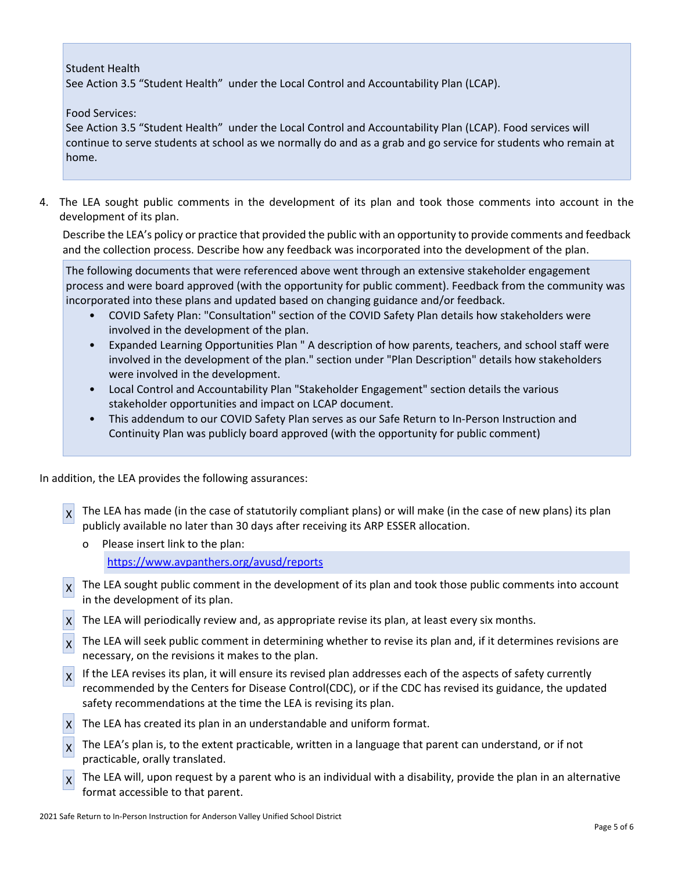Student Health

See Action 3.5 "Student Health" under the Local Control and Accountability Plan (LCAP).

Food Services:

See Action 3.5 "Student Health" under the Local Control and Accountability Plan (LCAP). Food services will continue to serve students at school as we normally do and as a grab and go service for students who remain at home.

4. The LEA sought public comments in the development of its plan and took those comments into account in the development of its plan.

Describe the LEA's policy or practice that provided the public with an opportunity to provide comments and feedback and the collection process. Describe how any feedback was incorporated into the development of the plan.

The following documents that were referenced above went through an extensive stakeholder engagement process and were board approved (with the opportunity for public comment). Feedback from the community was incorporated into these plans and updated based on changing guidance and/or feedback.

- COVID Safety Plan: "Consultation" section of the COVID Safety Plan details how stakeholders were involved in the development of the plan.
- Expanded Learning Opportunities Plan " A description of how parents, teachers, and school staff were involved in the development of the plan." section under "Plan Description" details how stakeholders were involved in the development.
- Local Control and Accountability Plan "Stakeholder Engagement" section details the various stakeholder opportunities and impact on LCAP document.
- This addendum to our COVID Safety Plan serves as our Safe Return to In-Person Instruction and Continuity Plan was publicly board approved (with the opportunity for public comment)

In addition, the LEA provides the following assurances:

- $\vert x \vert$  The LEA has made (in the case of statutorily compliant plans) or will make (in the case of new plans) its plan publicly available no later than 30 days after receiving its ARP ESSER allocation.
	- o Please insert link to the plan: <https://www.avpanthers.org/avusd/reports>
- $x^2$  The LEA sought public comment in the development of its plan and took those public comments into account in the development of its plan.
- X The LEA will periodically review and, as appropriate revise its plan, at least every six months.
- $\vert x \vert$  The LEA will seek public comment in determining whether to revise its plan and, if it determines revisions are necessary, on the revisions it makes to the plan.
- $x<sup>l</sup>$  If the LEA revises its plan, it will ensure its revised plan addresses each of the aspects of safety currently recommended by the Centers for Disease Control(CDC), or if the CDC has revised its guidance, the updated safety recommendations at the time the LEA is revising its plan.
- X The LEA has created its plan in an understandable and uniform format.
- $\chi$  The LEA's plan is, to the extent practicable, written in a language that parent can understand, or if not practicable, orally translated.
- $x$  The LEA will, upon request by a parent who is an individual with a disability, provide the plan in an alternative format accessible to that parent.